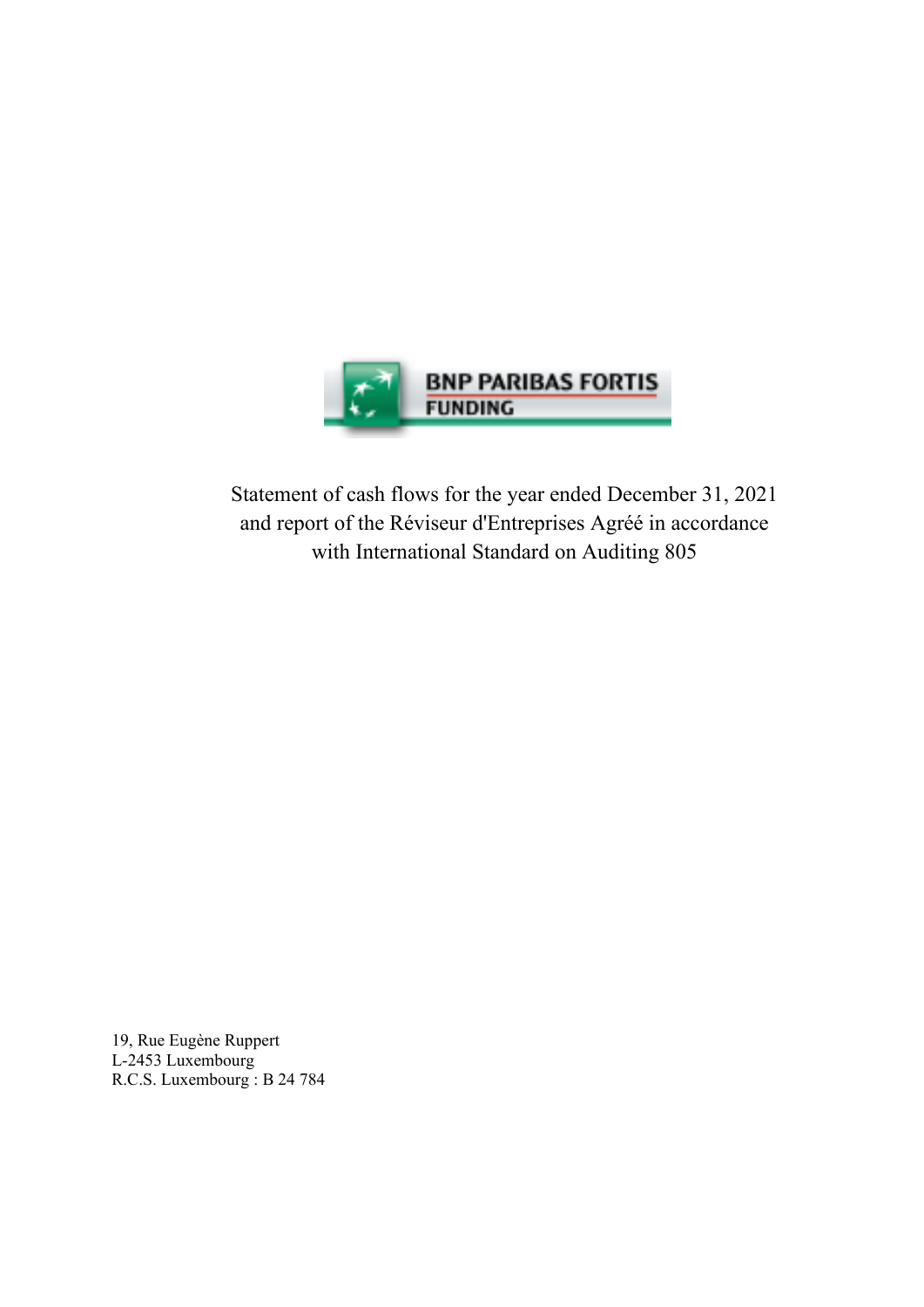

Statement of cash flows for the year ended December 31, 2021 and report of the Réviseur d'Entreprises Agréé in accordance with International Standard on Auditing 805

19, Rue Eugène Ruppert L-2453 Luxembourg R.C.S. Luxembourg : B 24 784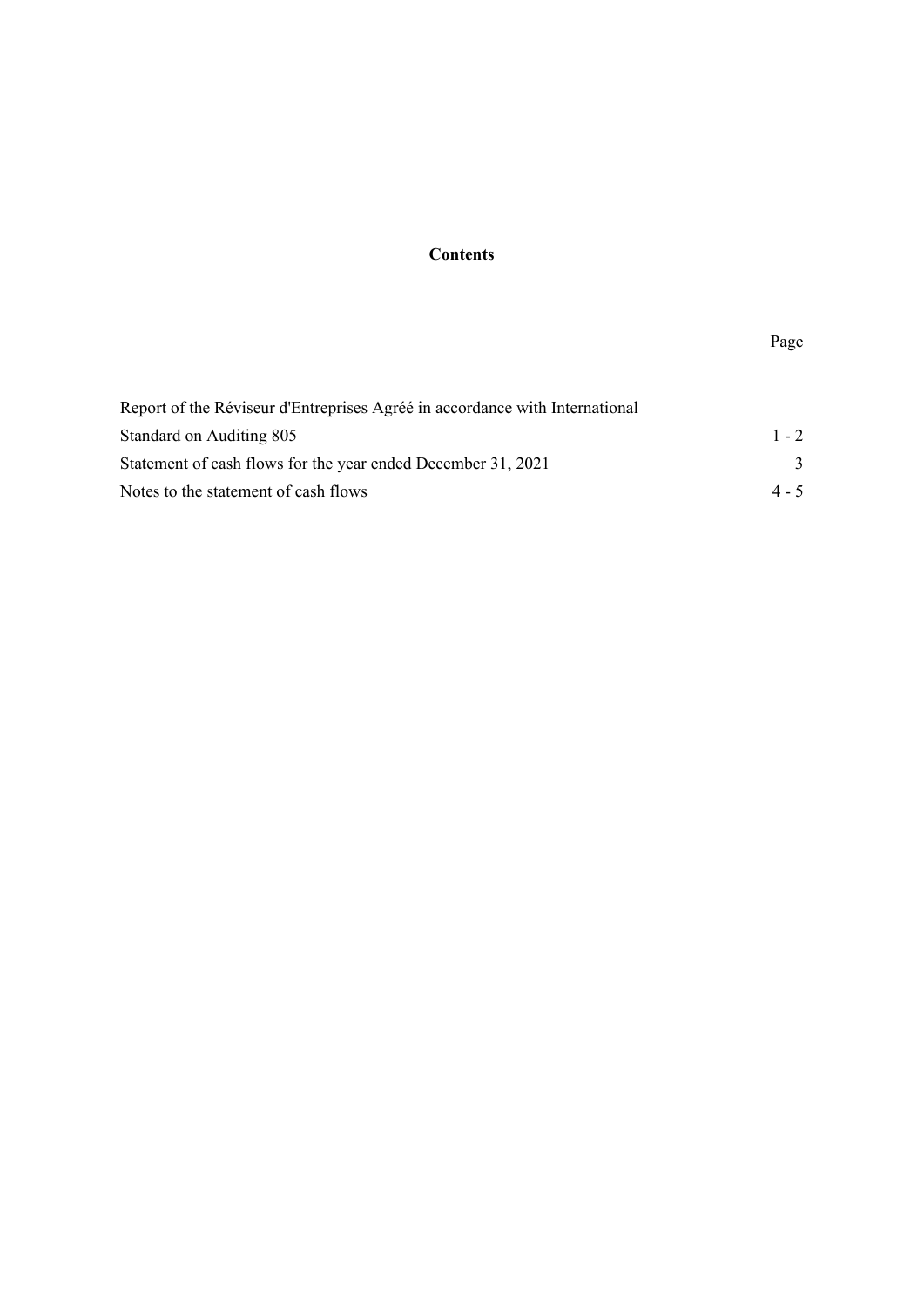# **Contents**

## Page

| Report of the Réviseur d'Entreprises Agréé in accordance with International |         |
|-----------------------------------------------------------------------------|---------|
| Standard on Auditing 805                                                    | $1 - 2$ |
| Statement of cash flows for the year ended December 31, 2021                |         |
| Notes to the statement of cash flows                                        | $4 - 5$ |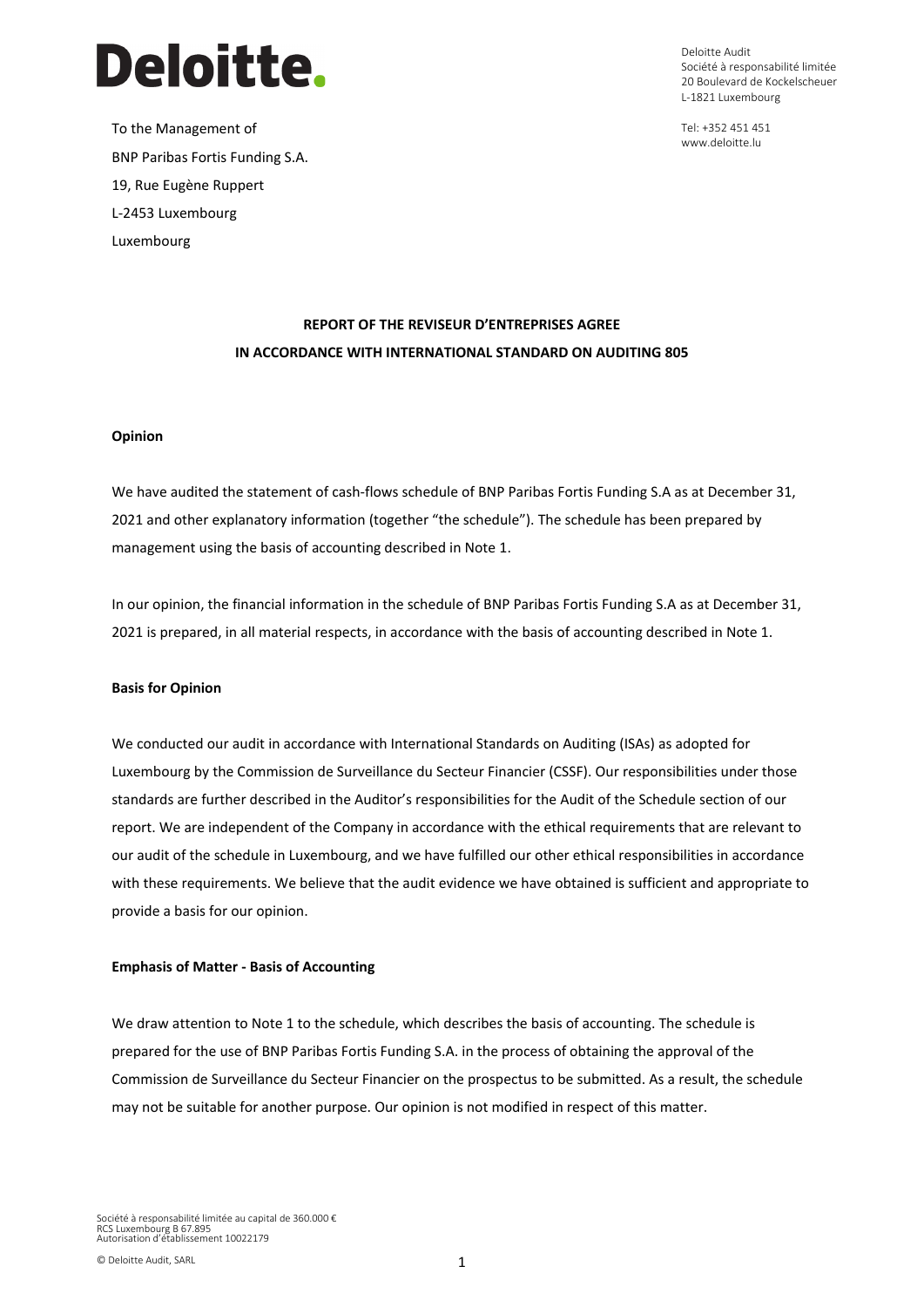

To the Management of BNP Paribas Fortis Funding S.A. 19, Rue Eugène Ruppert L-2453 Luxembourg Luxembourg

Deloitte Audit Société à responsabilité limitée 20 Boulevard de Kockelscheuer L-1821 Luxembourg

Tel: +352 451 451 www.deloitte.lu

# **REPORT OF THE REVISEUR D'ENTREPRISES AGREE IN ACCORDANCE WITH INTERNATIONAL STANDARD ON AUDITING 805**

#### **Opinion**

We have audited the statement of cash-flows schedule of BNP Paribas Fortis Funding S.A as at December 31, 2021 and other explanatory information (together "the schedule"). The schedule has been prepared by management using the basis of accounting described in Note 1.

In our opinion, the financial information in the schedule of BNP Paribas Fortis Funding S.A as at December 31, 2021 is prepared, in all material respects, in accordance with the basis of accounting described in Note 1.

#### **Basis for Opinion**

We conducted our audit in accordance with International Standards on Auditing (ISAs) as adopted for Luxembourg by the Commission de Surveillance du Secteur Financier (CSSF). Our responsibilities under those standards are further described in the Auditor's responsibilities for the Audit of the Schedule section of our report. We are independent of the Company in accordance with the ethical requirements that are relevant to our audit of the schedule in Luxembourg, and we have fulfilled our other ethical responsibilities in accordance with these requirements. We believe that the audit evidence we have obtained is sufficient and appropriate to provide a basis for our opinion.

#### **Emphasis of Matter - Basis of Accounting**

We draw attention to Note 1 to the schedule, which describes the basis of accounting. The schedule is prepared for the use of BNP Paribas Fortis Funding S.A. in the process of obtaining the approval of the Commission de Surveillance du Secteur Financier on the prospectus to be submitted. As a result, the schedule may not be suitable for another purpose. Our opinion is not modified in respect of this matter.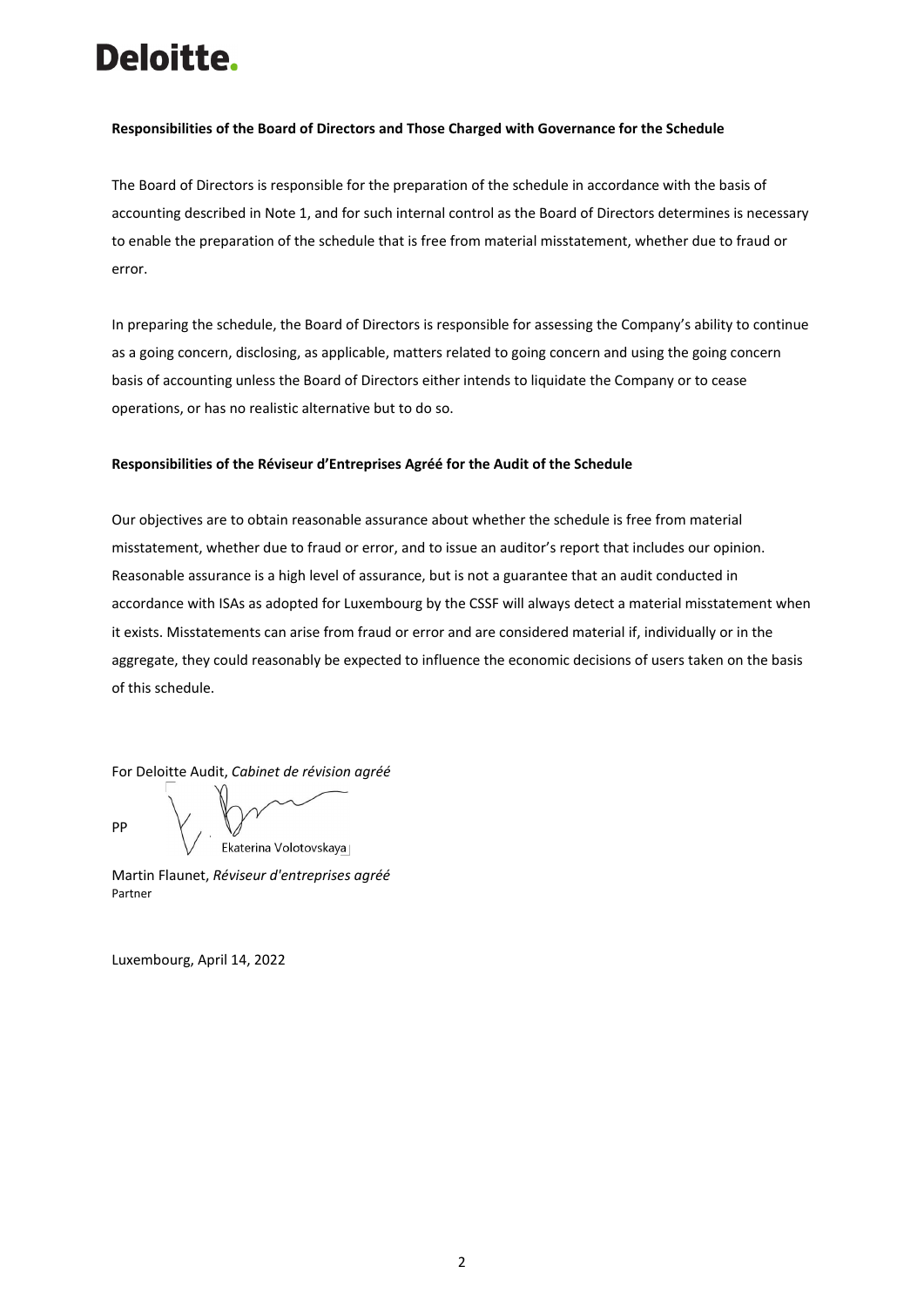# Deloitte.

#### **Responsibilities of the Board of Directors and Those Charged with Governance for the Schedule**

The Board of Directors is responsible for the preparation of the schedule in accordance with the basis of accounting described in Note 1, and for such internal control as the Board of Directors determines is necessary to enable the preparation of the schedule that is free from material misstatement, whether due to fraud or error.

In preparing the schedule, the Board of Directors is responsible for assessing the Company's ability to continue as a going concern, disclosing, as applicable, matters related to going concern and using the going concern basis of accounting unless the Board of Directors either intends to liquidate the Company or to cease operations, or has no realistic alternative but to do so.

#### **Responsibilities of the Réviseur d'Entreprises Agréé for the Audit of the Schedule**

Our objectives are to obtain reasonable assurance about whether the schedule is free from material misstatement, whether due to fraud or error, and to issue an auditor's report that includes our opinion. Reasonable assurance is a high level of assurance, but is not a guarantee that an audit conducted in accordance with ISAs as adopted for Luxembourg by the CSSF will always detect a material misstatement when it exists. Misstatements can arise from fraud or error and are considered material if, individually or in the aggregate, they could reasonably be expected to influence the economic decisions of users taken on the basis of this schedule.

For Deloitte Audit, *Cabinet de révision agréé*

PP

Ekaterina Volotovskaya

Martin Flaunet, *Réviseur d'entreprises agréé* Partner

Luxembourg, April 14, 2022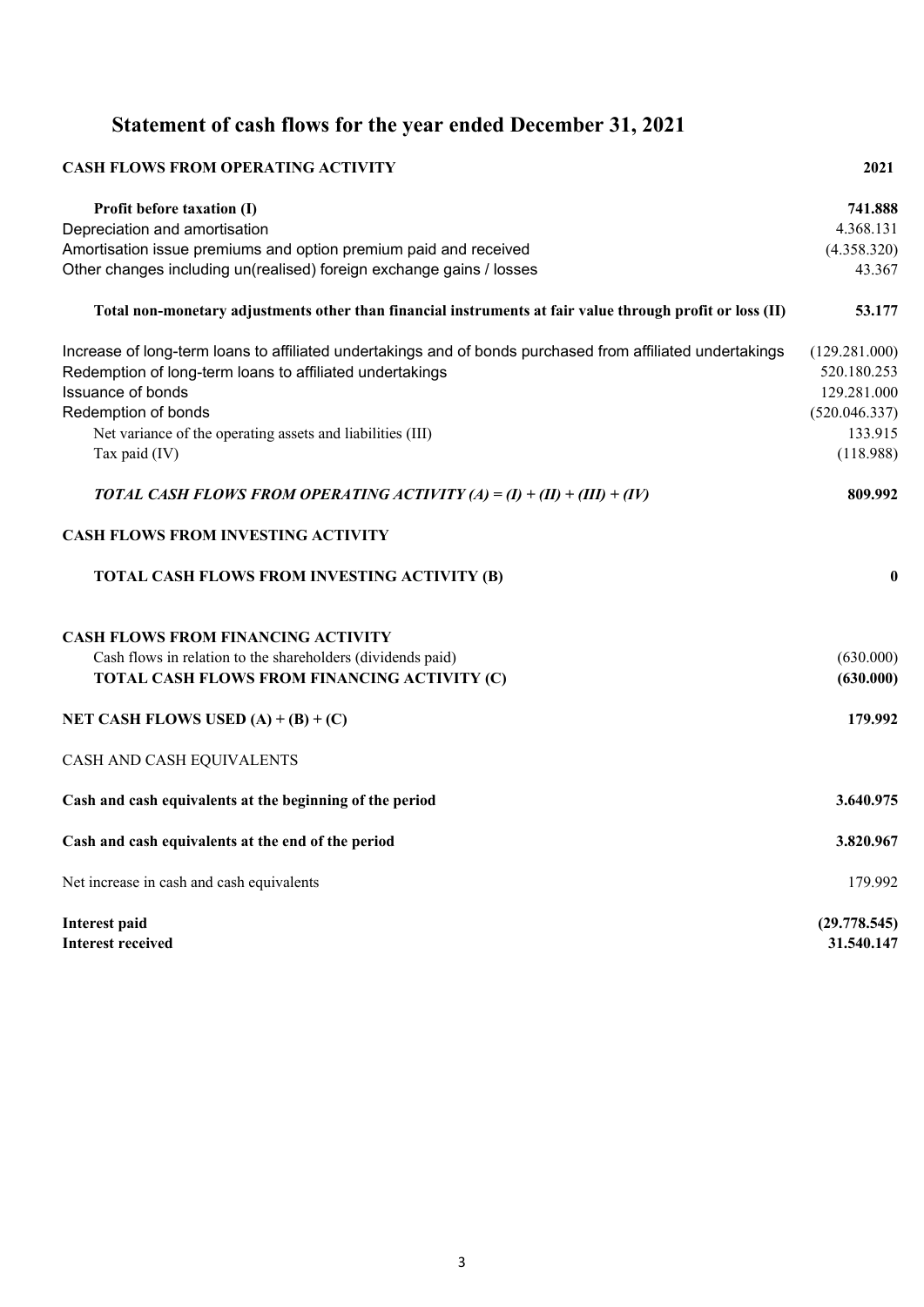# **Statement of cash flows for the year ended December 31, 2021**

| <b>CASH FLOWS FROM OPERATING ACTIVITY</b>                                                                  | 2021             |
|------------------------------------------------------------------------------------------------------------|------------------|
| Profit before taxation (I)                                                                                 | 741.888          |
| Depreciation and amortisation                                                                              | 4.368.131        |
| Amortisation issue premiums and option premium paid and received                                           | (4.358.320)      |
| Other changes including un(realised) foreign exchange gains / losses                                       | 43.367           |
| Total non-monetary adjustments other than financial instruments at fair value through profit or loss (II)  | 53.177           |
| Increase of long-term loans to affiliated undertakings and of bonds purchased from affiliated undertakings | (129.281.000)    |
| Redemption of long-term loans to affiliated undertakings                                                   | 520.180.253      |
| Issuance of bonds                                                                                          | 129.281.000      |
| Redemption of bonds                                                                                        | (520.046.337)    |
| Net variance of the operating assets and liabilities (III)                                                 | 133.915          |
| Tax paid (IV)                                                                                              | (118.988)        |
| <b>TOTAL CASH FLOWS FROM OPERATING ACTIVITY (A) = (I) + (II) + (III) + (IV)</b>                            | 809.992          |
| <b>CASH FLOWS FROM INVESTING ACTIVITY</b>                                                                  |                  |
| TOTAL CASH FLOWS FROM INVESTING ACTIVITY (B)                                                               | $\boldsymbol{0}$ |
| <b>CASH FLOWS FROM FINANCING ACTIVITY</b>                                                                  |                  |
| Cash flows in relation to the shareholders (dividends paid)                                                | (630.000)        |
| TOTAL CASH FLOWS FROM FINANCING ACTIVITY (C)                                                               | (630.000)        |
| NET CASH FLOWS USED $(A) + (B) + (C)$                                                                      | 179.992          |
| CASH AND CASH EQUIVALENTS                                                                                  |                  |
| Cash and cash equivalents at the beginning of the period                                                   | 3.640.975        |
| Cash and cash equivalents at the end of the period                                                         | 3.820.967        |
| Net increase in cash and cash equivalents                                                                  | 179.992          |
| <b>Interest paid</b>                                                                                       | (29.778.545)     |
| <b>Interest received</b>                                                                                   | 31.540.147       |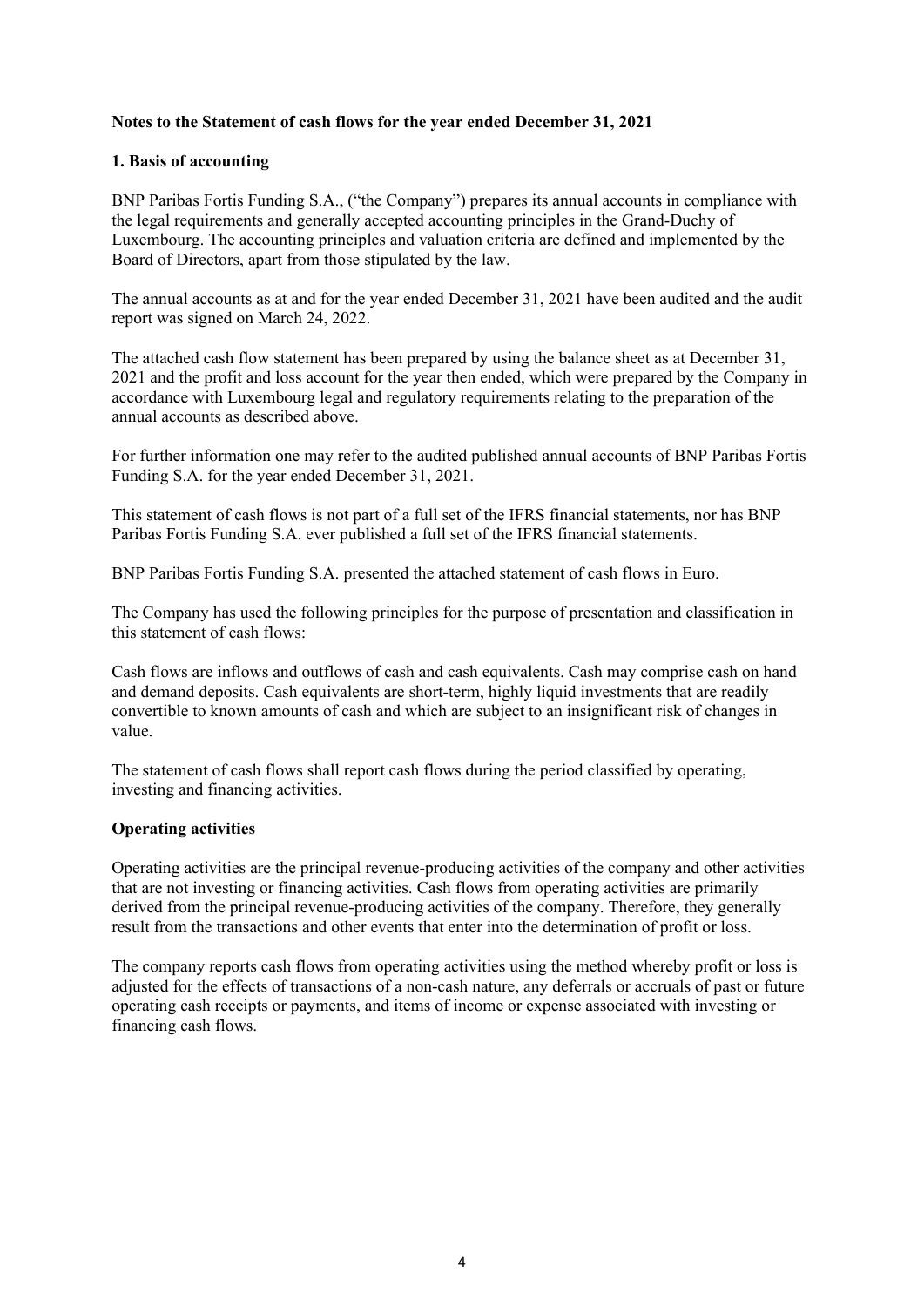#### **Notes to the Statement of cash flows for the year ended December 31, 2021**

#### **1. Basis of accounting**

BNP Paribas Fortis Funding S.A., ("the Company") prepares its annual accounts in compliance with the legal requirements and generally accepted accounting principles in the Grand-Duchy of Luxembourg. The accounting principles and valuation criteria are defined and implemented by the Board of Directors, apart from those stipulated by the law.

The annual accounts as at and for the year ended December 31, 2021 have been audited and the audit report was signed on March 24, 2022.

The attached cash flow statement has been prepared by using the balance sheet as at December 31, 2021 and the profit and loss account for the year then ended, which were prepared by the Company in accordance with Luxembourg legal and regulatory requirements relating to the preparation of the annual accounts as described above.

For further information one may refer to the audited published annual accounts of BNP Paribas Fortis Funding S.A. for the year ended December 31, 2021.

This statement of cash flows is not part of a full set of the IFRS financial statements, nor has BNP Paribas Fortis Funding S.A. ever published a full set of the IFRS financial statements.

BNP Paribas Fortis Funding S.A. presented the attached statement of cash flows in Euro.

The Company has used the following principles for the purpose of presentation and classification in this statement of cash flows:

Cash flows are inflows and outflows of cash and cash equivalents. Cash may comprise cash on hand and demand deposits. Cash equivalents are short-term, highly liquid investments that are readily convertible to known amounts of cash and which are subject to an insignificant risk of changes in value.

The statement of cash flows shall report cash flows during the period classified by operating, investing and financing activities.

#### **Operating activities**

Operating activities are the principal revenue-producing activities of the company and other activities that are not investing or financing activities. Cash flows from operating activities are primarily derived from the principal revenue-producing activities of the company. Therefore, they generally result from the transactions and other events that enter into the determination of profit or loss.

The company reports cash flows from operating activities using the method whereby profit or loss is adjusted for the effects of transactions of a non-cash nature, any deferrals or accruals of past or future operating cash receipts or payments, and items of income or expense associated with investing or financing cash flows.